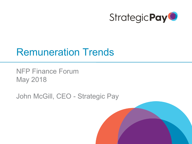

## Remuneration Trends

NFP Finance Forum May 2018

John McGill, CEO - Strategic Pay

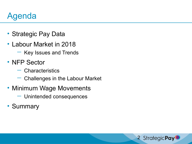## Agenda

- Strategic Pay Data
- Labour Market in 2018
	- Key Issues and Trends
- NFP Sector
	- Characteristics
	- Challenges in the Labour Market
- Minimum Wage Movements
	- Unintended consequences
- Summary

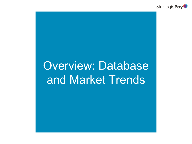

# Overview: Database and Market Trends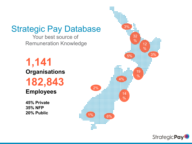#### Strategic Pay Database

Your best source of Remuneration Knowledge

**1,141 Organisations 182,843**

#### **Employees**

**45% Private 35% NFP 20% Public**



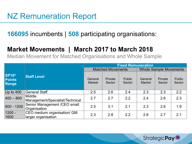#### NZ Remuneration Report

**166095** incumbents | **508** participating organisations:

#### **Market Movements | March 2017 to March 2018**

Median Movement for Matched Organisations and Whole Sample

|                                        |                                                    | <b>Fixed Remuneration</b> |                          |                         |                               |                   |                         |  |
|----------------------------------------|----------------------------------------------------|---------------------------|--------------------------|-------------------------|-------------------------------|-------------------|-------------------------|--|
|                                        |                                                    |                           | <b>Matched Movements</b> |                         | <b>Whole Sample Movements</b> |                   |                         |  |
| <b>SP10®</b><br><b>Points</b><br>Range | <b>Staff Level</b>                                 | General<br><b>Market</b>  | Private<br>Sector        | <b>Public</b><br>Sector | General<br><b>Market</b>      | Private<br>Sector | <b>Public</b><br>Sector |  |
| Up to 400                              | <b>General Staff</b>                               | 2.5                       | 2.6                      | 2.4                     | 2.3                           | 2.3               | 2.2                     |  |
| $ 400 - 800 $                          | <b>Middle</b><br>Management/Specialist/Technical   | 2.7                       | 2.7                      | 2.2                     | 2.4                           | 2.6               | 2.3                     |  |
| 800 - 1200                             | Senior Management / CEO small<br>Organisation      | 2.5                       | 3.1                      | 2.1                     | 2.3                           | 2.6               | 1.9                     |  |
| $1200 -$<br>1600                       | CEO medium organisation/ GM<br>larger organisation | 2.3                       | 2.8                      | 2.2                     | 2.6                           | 2.7               | 2.1                     |  |

**StrategicPay**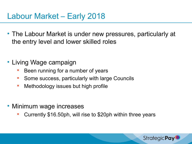- The Labour Market is under new pressures, particularly at the entry level and lower skilled roles
- Living Wage campaign
	- Been running for a number of years
	- Some success, particularly with large Councils
	- **Nethodology issues but high profile**
- Minimum wage increases
	- Currently \$16.50ph, will rise to \$20ph within three years

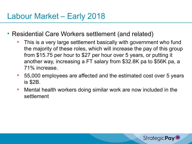- Residential Care Workers settlement (and related)
	- This is a very large settlement basically with government who fund the majority of these roles, which will increase the pay of this group from \$15.75 per hour to \$27 per hour over 5 years, or putting it another way, increasing a FT salary from \$32.8K pa to \$56K pa, a 71% increase.
	- 55,000 employees are affected and the estimated cost over 5 years is \$2B.
	- Mental health workers doing similar work are now included in the settlement

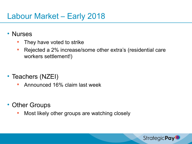#### • Nurses

- They have voted to strike
- Rejected a 2% increase/some other extra's (residential care workers settlement!)
- Teachers (NZEI)
	- Announced 16% claim last week
- Other Groups
	- Most likely other groups are watching closely

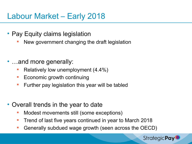- Pay Equity claims legislation
	- New government changing the draft legislation
- …and more generally:
	- Relatively low unemployment (4.4%)
	- **Example 2** Economic growth continuing
	- **Further pay legislation this year will be tabled**
- Overall trends in the year to date
	- **Modest movements still (some exceptions)**
	- Trend of last five years continued in year to March 2018
	- Generally subdued wage growth (seen across the OECD)

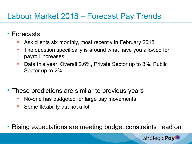### Labour Market 2018 – Forecast Pay Trends

- Forecasts
	- Ask clients six monthly, most recently in February 2018
	- **The question specifically is around what have you allowed for** payroll increases
	- Data this year: Overall 2.6%, Private Sector up to 3%, Public Sector up to 2%
- These predictions are similar to previous years
	- No-one has budgeted for large pay movements
	- Some flexibility but not a lot
- Rising expectations are meeting budget constraints head on

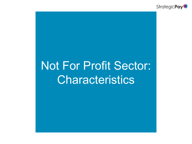

# Not For Profit Sector: **Characteristics**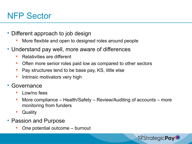## NFP Sector

- Different approach to job design
	- More flexible and open to designed roles around people
- Understand pay well, more aware of differences
	- **Relativities are different**
	- **Often more senior roles paid low as compared to other sectors**
	- **Pay structures tend to be base pay, KS, little else**
	- **Intrinsic motivators very high**
- **Governance** 
	- $\blacksquare$  Low/no fees
	- More compliance Health/Safety Review/Auditing of accounts more monitoring from funders

12StrategicPay

- Quality
- Passion and Purpose
	- One potential outcome burnout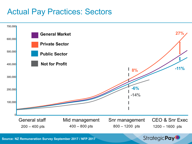#### Actual Pay Practices: Sectors



**Source: NZ Remuneration Survey September 2017 / NFP 2017**

**Strategic Pay**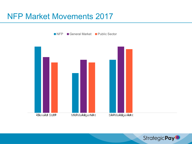#### NFP Market Movements 2017

■ NFP General Market Public Sector



**StrategicPay**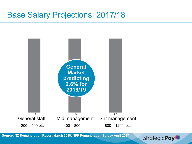#### Base Salary Projections: 2017/18



**Strategic Pay**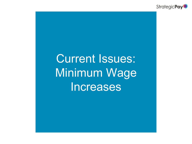

# Current Issues: Minimum Wage Increases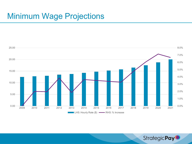### Minimum Wage Projections



**StrategicPay**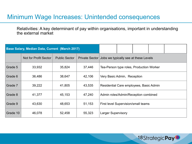#### Minimum Wage Increases: Unintended consequences

Relativities: A key determinant of pay within organisations, important in understanding the external market

| <b>Base Salary, Median Data, Current (March 2017)</b> |                       |                      |        |                                                      |  |  |  |  |
|-------------------------------------------------------|-----------------------|----------------------|--------|------------------------------------------------------|--|--|--|--|
|                                                       | Not for Profit Sector | <b>Public Sector</b> |        | Private Sector Jobs we typically see at these Levels |  |  |  |  |
| Grade 5                                               | 33,932                | 35,824               | 37,446 | Tea-Person type roles, Production Worker             |  |  |  |  |
| Grade 6                                               | 36,486                | 38,647               | 42,106 | Very Basic Admin, Reception                          |  |  |  |  |
| Grade 7                                               | 39,222                | 41,805               | 43,535 | Residential Care employees, Basic Admin              |  |  |  |  |
| Grade 8                                               | 41,377                | 45,153               | 47,240 | Admin roles/Admin/Reception combined                 |  |  |  |  |
| Grade 9                                               | 43,630                | 48,653               | 51,153 | First level Supervision/small teams                  |  |  |  |  |
| Grade 10                                              | 46,078                | 52,458               | 55,323 | <b>Larger Supervisory</b>                            |  |  |  |  |

18StrategicPay<sup>O</sup>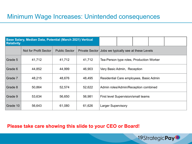#### Minimum Wage Increases: Unintended consequences

| <b>Relativity</b> | Base Salary, Median Data, Potential (March 2021) Vertical |                      |        |                                                      |  |  |  |  |  |
|-------------------|-----------------------------------------------------------|----------------------|--------|------------------------------------------------------|--|--|--|--|--|
|                   | Not for Profit Sector                                     | <b>Public Sector</b> |        | Private Sector Jobs we typically see at these Levels |  |  |  |  |  |
| Grade 5           | 41,712                                                    | 41,712               | 41,712 | Tea-Person type roles, Production Worker             |  |  |  |  |  |
| Grade 6           | 44,852                                                    | 44,999               | 46,903 | Very Basic Admin, Reception                          |  |  |  |  |  |
| Grade 7           | 48,215                                                    | 48,676               | 48,495 | Residential Care employees, Basic Admin              |  |  |  |  |  |
| Grade 8           | 50,864                                                    | 52,574               | 52,622 | Admin roles/Admin/Reception combined                 |  |  |  |  |  |
| Grade 9           | 53,634                                                    | 56,650               | 56,981 | First level Supervision/small teams                  |  |  |  |  |  |
| Grade 10          | 56,643                                                    | 61,080               | 61,626 | <b>Larger Supervisory</b>                            |  |  |  |  |  |

19StrategicPay<sup>O</sup>

#### **Please take care showing this slide to your CEO or Board!**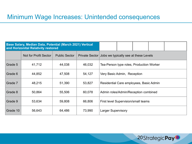#### Minimum Wage Increases: Unintended consequences

| Base Salary, Median Data, Potential (March 2021) Vertical<br>and Horizonital Relativity restored |                       |                      |        |                                                      |  |  |  |  |
|--------------------------------------------------------------------------------------------------|-----------------------|----------------------|--------|------------------------------------------------------|--|--|--|--|
|                                                                                                  | Not for Profit Sector | <b>Public Sector</b> |        | Private Sector Jobs we typically see at these Levels |  |  |  |  |
| Grade 5                                                                                          | 41,712                | 44,038               | 46,032 | Tea-Person type roles, Production Worker             |  |  |  |  |
| Grade 6                                                                                          | 44,852                | 47,508               | 54,127 | Very Basic Admin, Reception                          |  |  |  |  |
| Grade 7                                                                                          | 48,215                | 51,390               | 53,827 | Residential Care employees, Basic Admin              |  |  |  |  |
| Grade 8                                                                                          | 50,864                | 55,506               | 60,078 | Admin roles/Admin/Reception combined                 |  |  |  |  |
| Grade 9                                                                                          | 53,634                | 59,808               | 66,806 | First level Supervision/small teams                  |  |  |  |  |
| Grade 10                                                                                         | 56,643                | 64,486               | 73,990 | <b>Larger Supervisory</b>                            |  |  |  |  |

20StrategicPay<sup>O</sup>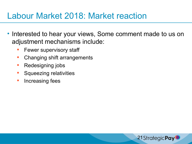## Labour Market 2018: Market reaction

- Interested to hear your views, Some comment made to us on adjustment mechanisms include:
	- Fewer supervisory staff
	- Changing shift arrangements
	- **Redesigning jobs**
	- Squeezing relativities
	- **Increasing fees**

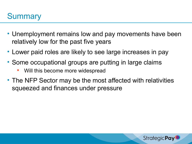## **Summary**

- Unemployment remains low and pay movements have been relatively low for the past five years
- Lower paid roles are likely to see large increases in pay
- Some occupational groups are putting in large claims
	- Will this become more widespread
- The NFP Sector may be the most affected with relativities squeezed and finances under pressure